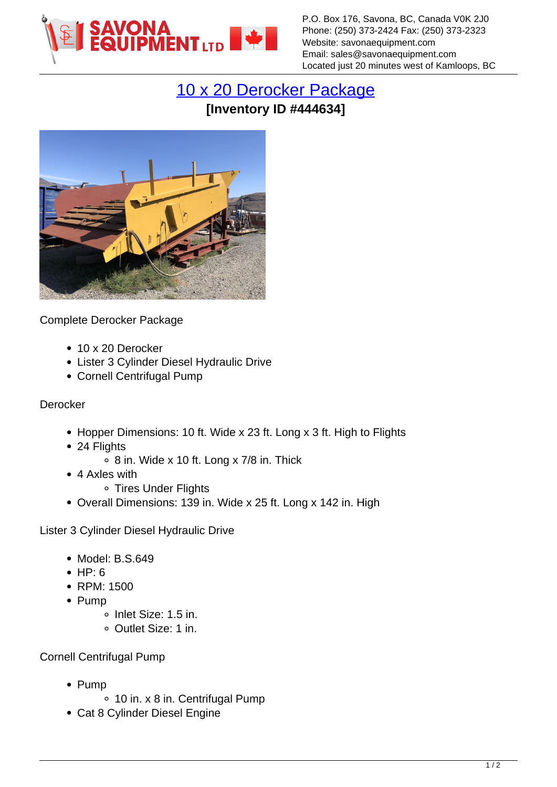

P.O. Box 176, Savona, BC, Canada V0K 2J0 Phone: (250) 373-2424 Fax: (250) 373-2323 Website: savonaequipment.com Email: sales@savonaequipment.com Located just 20 minutes west of Kamloops, BC

## [10 x 20 Derocker Package](https://www.savonaequipment.com/en/10-x-20-derocker-package-p444634) **[Inventory ID #444634]**



Complete Derocker Package

- 10 x 20 Derocker
- Lister 3 Cylinder Diesel Hydraulic Drive
- Cornell Centrifugal Pump

## Derocker

- Hopper Dimensions: 10 ft. Wide x 23 ft. Long x 3 ft. High to Flights
- 24 Flights
	- $\circ$  8 in. Wide x 10 ft. Long x 7/8 in. Thick
- 4 Axles with
	- ∘ Tires Under Flights
- Overall Dimensions: 139 in. Wide x 25 ft. Long x 142 in. High

Lister 3 Cylinder Diesel Hydraulic Drive

- Model: B.S.649
- $\bullet$  HP: 6
- RPM: 1500
- $\bullet$  Pump
	- o Inlet Size: 1.5 in.
	- Outlet Size: 1 in.

Cornell Centrifugal Pump

- $\bullet$  Pump
	- 10 in. x 8 in. Centrifugal Pump
- Cat 8 Cylinder Diesel Engine